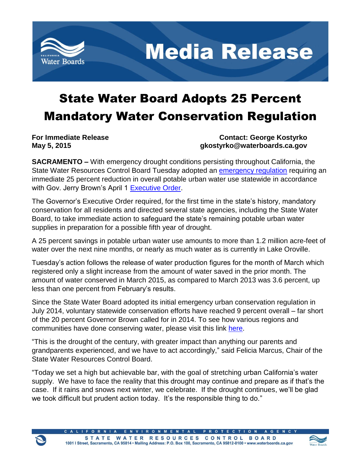

**Media Release** 

# State Water Board Adopts 25 Percent Mandatory Water Conservation Regulation

**For Immediate Release Contact: George Kostyrko May 5, 2015 gkostyrko@waterboards.ca.gov**

**SACRAMENTO –** With emergency drought conditions persisting throughout California, the State Water Resources Control Board Tuesday adopted an [emergency regulation](http://www.waterboards.ca.gov/waterrights/water_issues/programs/drought/emergency_mandatory_regulations.shtml) requiring an immediate 25 percent reduction in overall potable urban water use statewide in accordance with Gov. Jerry Brown's April 1 [Executive Order.](http://www.waterboards.ca.gov/waterrights/water_issues/programs/drought/docs/040115_executive_order.pdf)

The Governor's Executive Order required, for the first time in the state's history, mandatory conservation for all residents and directed several state agencies, including the State Water Board, to take immediate action to safeguard the state's remaining potable urban water supplies in preparation for a possible fifth year of drought.

A 25 percent savings in potable urban water use amounts to more than 1.2 million acre-feet of water over the next nine months, or nearly as much water as is currently in Lake Oroville.

Tuesday's action follows the release of water production figures for the month of March which registered only a slight increase from the amount of water saved in the prior month. The amount of water conserved in March 2015, as compared to March 2013 was 3.6 percent, up less than one percent from February's results.

Since the State Water Board adopted its initial emergency urban conservation regulation in July 2014, voluntary statewide conservation efforts have reached 9 percent overall – far short of the 20 percent Governor Brown called for in 2014. To see how various regions and communities have done conserving water, please visit this link [here.](http://www.waterboards.ca.gov/waterrights/water_issues/programs/drought/conservation_reporting_info.shtml)

"This is the drought of the century, with greater impact than anything our parents and grandparents experienced, and we have to act accordingly," said Felicia Marcus, Chair of the State Water Resources Control Board.

"Today we set a high but achievable bar, with the goal of stretching urban California's water supply. We have to face the reality that this drought may continue and prepare as if that's the case. If it rains and snows next winter, we celebrate. If the drought continues, we'll be glad we took difficult but prudent action today. It's the responsible thing to do."

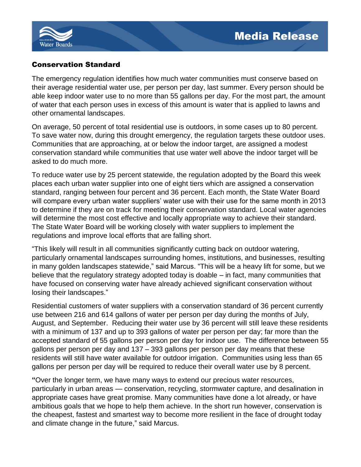

# Conservation Standard

The emergency regulation identifies how much water communities must conserve based on their average residential water use, per person per day, last summer. Every person should be able keep indoor water use to no more than 55 gallons per day. For the most part, the amount of water that each person uses in excess of this amount is water that is applied to lawns and other ornamental landscapes.

On average, 50 percent of total residential use is outdoors, in some cases up to 80 percent. To save water now, during this drought emergency, the regulation targets these outdoor uses. Communities that are approaching, at or below the indoor target, are assigned a modest conservation standard while communities that use water well above the indoor target will be asked to do much more.

To reduce water use by 25 percent statewide, the regulation adopted by the Board this week places each urban water supplier into one of eight tiers which are assigned a conservation standard, ranging between four percent and 36 percent. Each month, the State Water Board will compare every urban water suppliers' water use with their use for the same month in 2013 to determine if they are on track for meeting their conservation standard. Local water agencies will determine the most cost effective and locally appropriate way to achieve their standard. The State Water Board will be working closely with water suppliers to implement the regulations and improve local efforts that are falling short.

"This likely will result in all communities significantly cutting back on outdoor watering, particularly ornamental landscapes surrounding homes, institutions, and businesses, resulting in many golden landscapes statewide," said Marcus. "This will be a heavy lift for some, but we believe that the regulatory strategy adopted today is doable – in fact, many communities that have focused on conserving water have already achieved significant conservation without losing their landscapes."

Residential customers of water suppliers with a conservation standard of 36 percent currently use between 216 and 614 gallons of water per person per day during the months of July, August, and September. Reducing their water use by 36 percent will still leave these residents with a minimum of 137 and up to 393 gallons of water per person per day; far more than the accepted standard of 55 gallons per person per day for indoor use. The difference between 55 gallons per person per day and 137 – 393 gallons per person per day means that these residents will still have water available for outdoor irrigation. Communities using less than 65 gallons per person per day will be required to reduce their overall water use by 8 percent.

**"**Over the longer term, we have many ways to extend our precious water resources, particularly in urban areas — conservation, recycling, stormwater capture, and desalination in appropriate cases have great promise. Many communities have done a lot already, or have ambitious goals that we hope to help them achieve. In the short run however, conservation is the cheapest, fastest and smartest way to become more resilient in the face of drought today and climate change in the future," said Marcus.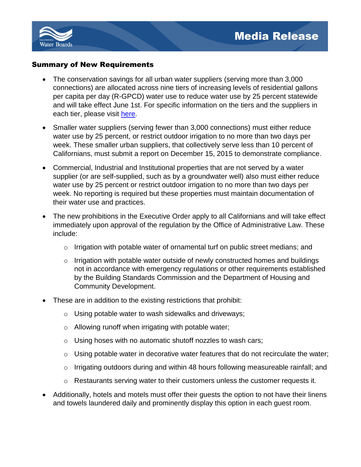

#### Summary of New Requirements

- The conservation savings for all urban water suppliers (serving more than 3,000 connections) are allocated across nine tiers of increasing levels of residential gallons per capita per day (R-GPCD) water use to reduce water use by 25 percent statewide and will take effect June 1st. For specific information on the tiers and the suppliers in each tier, please visit [here.](http://www.waterboards.ca.gov/waterrights/water_issues/programs/drought/docs/emergency_regulations/supplier_tiers_20150428.pdf)
- Smaller water suppliers (serving fewer than 3,000 connections) must either reduce water use by 25 percent, or restrict outdoor irrigation to no more than two days per week. These smaller urban suppliers, that collectively serve less than 10 percent of Californians, must submit a report on December 15, 2015 to demonstrate compliance.
- Commercial, Industrial and Institutional properties that are not served by a water supplier (or are self-supplied, such as by a groundwater well) also must either reduce water use by 25 percent or restrict outdoor irrigation to no more than two days per week. No reporting is required but these properties must maintain documentation of their water use and practices.
- The new prohibitions in the Executive Order apply to all Californians and will take effect immediately upon approval of the regulation by the Office of Administrative Law. These include:
	- o Irrigation with potable water of ornamental turf on public street medians; and
	- o Irrigation with potable water outside of newly constructed homes and buildings not in accordance with emergency regulations or other requirements established by the Building Standards Commission and the Department of Housing and Community Development.
- These are in addition to the existing restrictions that prohibit:
	- o Using potable water to wash sidewalks and driveways;
	- o Allowing runoff when irrigating with potable water;
	- o Using hoses with no automatic shutoff nozzles to wash cars;
	- $\circ$  Using potable water in decorative water features that do not recirculate the water;
	- o Irrigating outdoors during and within 48 hours following measureable rainfall; and
	- o Restaurants serving water to their customers unless the customer requests it.
- Additionally, hotels and motels must offer their guests the option to not have their linens and towels laundered daily and prominently display this option in each guest room.